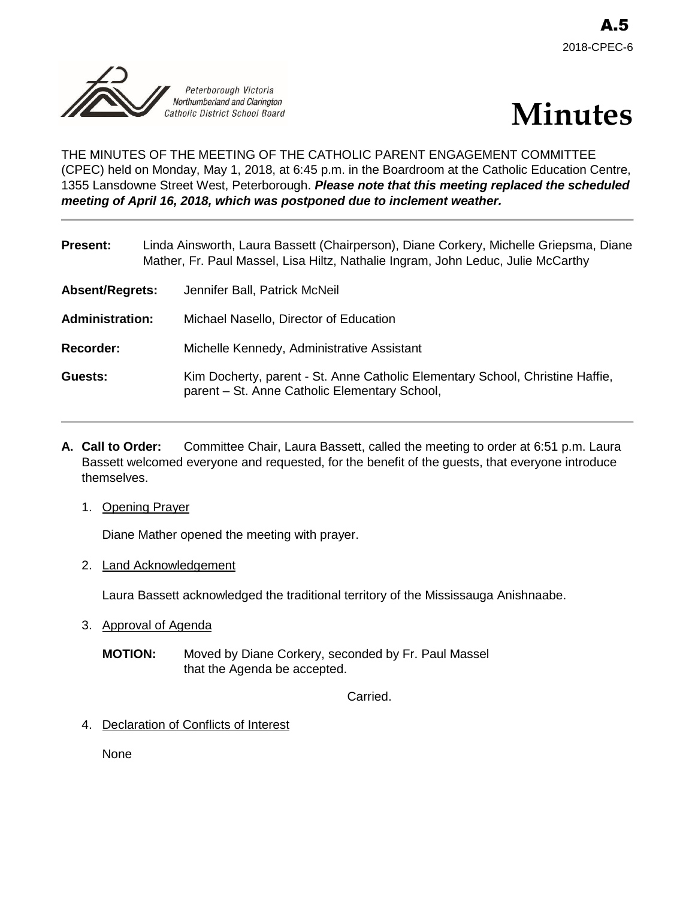



THE MINUTES OF THE MEETING OF THE CATHOLIC PARENT ENGAGEMENT COMMITTEE (CPEC) held on Monday, May 1, 2018, at 6:45 p.m. in the Boardroom at the Catholic Education Centre, 1355 Lansdowne Street West, Peterborough. *Please note that this meeting replaced the scheduled meeting of April 16, 2018, which was postponed due to inclement weather.*

| <b>Present:</b>        | Linda Ainsworth, Laura Bassett (Chairperson), Diane Corkery, Michelle Griepsma, Diane<br>Mather, Fr. Paul Massel, Lisa Hiltz, Nathalie Ingram, John Leduc, Julie McCarthy |
|------------------------|---------------------------------------------------------------------------------------------------------------------------------------------------------------------------|
| Absent/Regrets:        | Jennifer Ball, Patrick McNeil                                                                                                                                             |
| <b>Administration:</b> | Michael Nasello, Director of Education                                                                                                                                    |
| <b>Recorder:</b>       | Michelle Kennedy, Administrative Assistant                                                                                                                                |
| <b>Guests:</b>         | Kim Docherty, parent - St. Anne Catholic Elementary School, Christine Haffie,<br>parent - St. Anne Catholic Elementary School,                                            |

- **A. Call to Order:** Committee Chair, Laura Bassett, called the meeting to order at 6:51 p.m. Laura Bassett welcomed everyone and requested, for the benefit of the guests, that everyone introduce themselves.
	- 1. Opening Prayer

Diane Mather opened the meeting with prayer.

2. Land Acknowledgement

Laura Bassett acknowledged the traditional territory of the Mississauga Anishnaabe.

- 3. Approval of Agenda
	- **MOTION:** Moved by Diane Corkery, seconded by Fr. Paul Massel that the Agenda be accepted.

Carried.

4. Declaration of Conflicts of Interest

None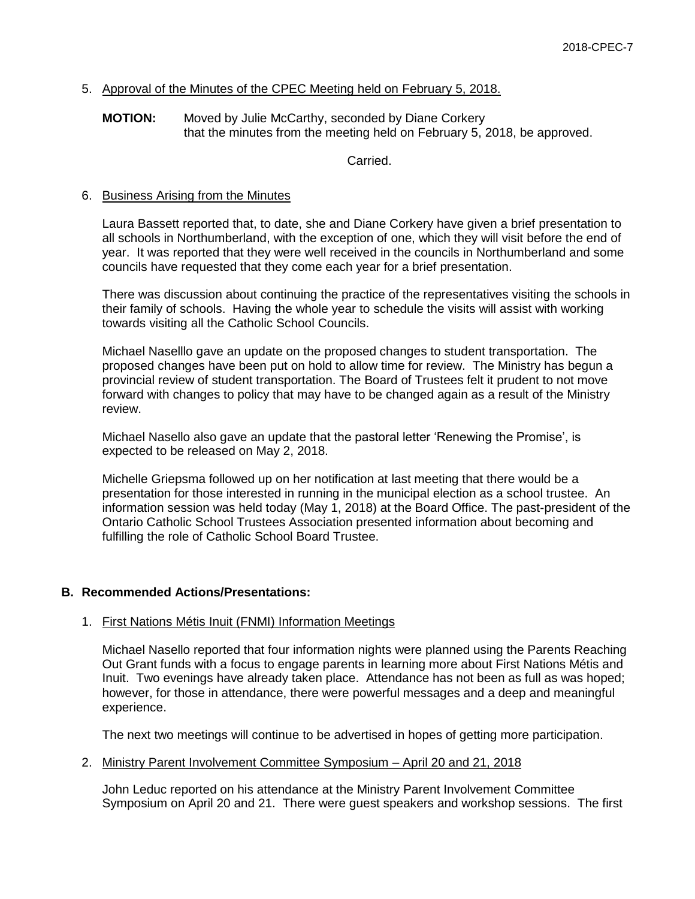# 5. Approval of the Minutes of the CPEC Meeting held on February 5, 2018.

## **MOTION:** Moved by Julie McCarthy, seconded by Diane Corkery that the minutes from the meeting held on February 5, 2018, be approved.

Carried.

## 6. Business Arising from the Minutes

Laura Bassett reported that, to date, she and Diane Corkery have given a brief presentation to all schools in Northumberland, with the exception of one, which they will visit before the end of year. It was reported that they were well received in the councils in Northumberland and some councils have requested that they come each year for a brief presentation.

There was discussion about continuing the practice of the representatives visiting the schools in their family of schools. Having the whole year to schedule the visits will assist with working towards visiting all the Catholic School Councils.

Michael Naselllo gave an update on the proposed changes to student transportation. The proposed changes have been put on hold to allow time for review. The Ministry has begun a provincial review of student transportation. The Board of Trustees felt it prudent to not move forward with changes to policy that may have to be changed again as a result of the Ministry review.

Michael Nasello also gave an update that the pastoral letter 'Renewing the Promise', is expected to be released on May 2, 2018.

Michelle Griepsma followed up on her notification at last meeting that there would be a presentation for those interested in running in the municipal election as a school trustee. An information session was held today (May 1, 2018) at the Board Office. The past-president of the Ontario Catholic School Trustees Association presented information about becoming and fulfilling the role of Catholic School Board Trustee.

## **B. Recommended Actions/Presentations:**

## 1. First Nations Métis Inuit (FNMI) Information Meetings

Michael Nasello reported that four information nights were planned using the Parents Reaching Out Grant funds with a focus to engage parents in learning more about First Nations Métis and Inuit. Two evenings have already taken place. Attendance has not been as full as was hoped; however, for those in attendance, there were powerful messages and a deep and meaningful experience.

The next two meetings will continue to be advertised in hopes of getting more participation.

## 2. Ministry Parent Involvement Committee Symposium – April 20 and 21, 2018

John Leduc reported on his attendance at the Ministry Parent Involvement Committee Symposium on April 20 and 21. There were guest speakers and workshop sessions. The first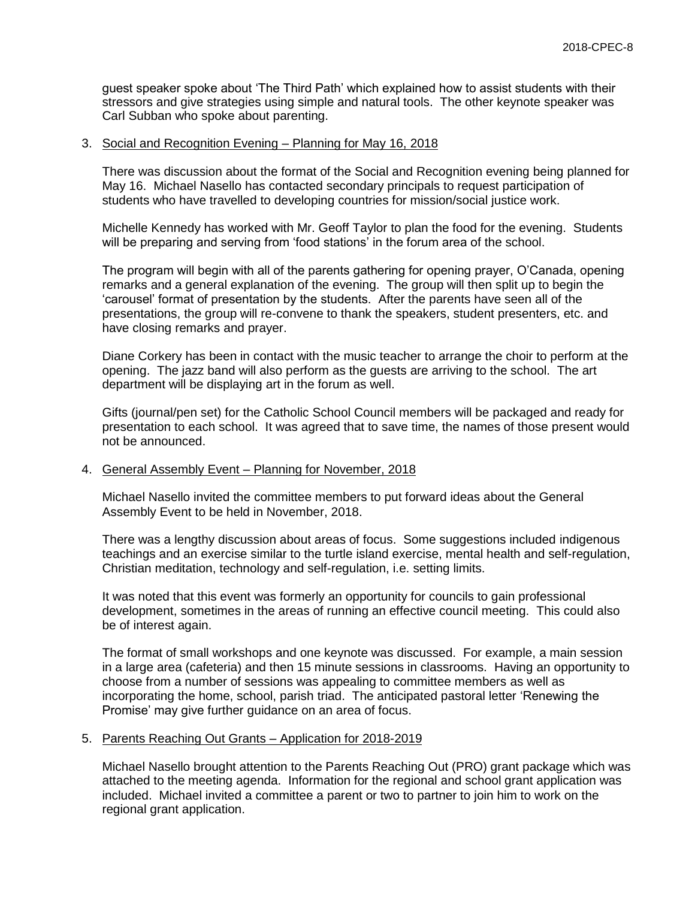guest speaker spoke about 'The Third Path' which explained how to assist students with their stressors and give strategies using simple and natural tools. The other keynote speaker was Carl Subban who spoke about parenting.

### 3. Social and Recognition Evening – Planning for May 16, 2018

There was discussion about the format of the Social and Recognition evening being planned for May 16. Michael Nasello has contacted secondary principals to request participation of students who have travelled to developing countries for mission/social justice work.

Michelle Kennedy has worked with Mr. Geoff Taylor to plan the food for the evening. Students will be preparing and serving from 'food stations' in the forum area of the school.

The program will begin with all of the parents gathering for opening prayer, O'Canada, opening remarks and a general explanation of the evening. The group will then split up to begin the 'carousel' format of presentation by the students. After the parents have seen all of the presentations, the group will re-convene to thank the speakers, student presenters, etc. and have closing remarks and prayer.

Diane Corkery has been in contact with the music teacher to arrange the choir to perform at the opening. The jazz band will also perform as the guests are arriving to the school. The art department will be displaying art in the forum as well.

Gifts (journal/pen set) for the Catholic School Council members will be packaged and ready for presentation to each school. It was agreed that to save time, the names of those present would not be announced.

### 4. General Assembly Event – Planning for November, 2018

Michael Nasello invited the committee members to put forward ideas about the General Assembly Event to be held in November, 2018.

There was a lengthy discussion about areas of focus. Some suggestions included indigenous teachings and an exercise similar to the turtle island exercise, mental health and self-regulation, Christian meditation, technology and self-regulation, i.e. setting limits.

It was noted that this event was formerly an opportunity for councils to gain professional development, sometimes in the areas of running an effective council meeting. This could also be of interest again.

The format of small workshops and one keynote was discussed. For example, a main session in a large area (cafeteria) and then 15 minute sessions in classrooms. Having an opportunity to choose from a number of sessions was appealing to committee members as well as incorporating the home, school, parish triad. The anticipated pastoral letter 'Renewing the Promise' may give further guidance on an area of focus.

### 5. Parents Reaching Out Grants – Application for 2018-2019

Michael Nasello brought attention to the Parents Reaching Out (PRO) grant package which was attached to the meeting agenda. Information for the regional and school grant application was included. Michael invited a committee a parent or two to partner to join him to work on the regional grant application.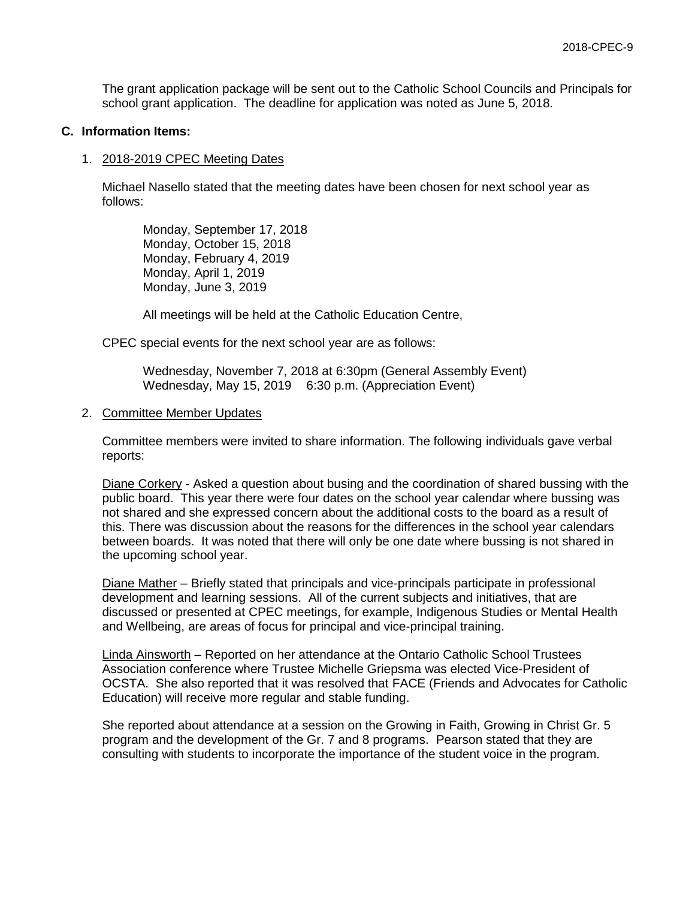The grant application package will be sent out to the Catholic School Councils and Principals for school grant application. The deadline for application was noted as June 5, 2018.

### **C. Information Items:**

#### 1. 2018-2019 CPEC Meeting Dates

Michael Nasello stated that the meeting dates have been chosen for next school year as follows:

Monday, September 17, 2018 Monday, October 15, 2018 Monday, February 4, 2019 Monday, April 1, 2019 Monday, June 3, 2019

All meetings will be held at the Catholic Education Centre,

CPEC special events for the next school year are as follows:

Wednesday, November 7, 2018 at 6:30pm (General Assembly Event) Wednesday, May 15, 2019 6:30 p.m. (Appreciation Event)

#### 2. Committee Member Updates

Committee members were invited to share information. The following individuals gave verbal reports:

Diane Corkery - Asked a question about busing and the coordination of shared bussing with the public board. This year there were four dates on the school year calendar where bussing was not shared and she expressed concern about the additional costs to the board as a result of this. There was discussion about the reasons for the differences in the school year calendars between boards. It was noted that there will only be one date where bussing is not shared in the upcoming school year.

Diane Mather – Briefly stated that principals and vice-principals participate in professional development and learning sessions. All of the current subjects and initiatives, that are discussed or presented at CPEC meetings, for example, Indigenous Studies or Mental Health and Wellbeing, are areas of focus for principal and vice-principal training.

Linda Ainsworth – Reported on her attendance at the Ontario Catholic School Trustees Association conference where Trustee Michelle Griepsma was elected Vice-President of OCSTA. She also reported that it was resolved that FACE (Friends and Advocates for Catholic Education) will receive more regular and stable funding.

She reported about attendance at a session on the Growing in Faith, Growing in Christ Gr. 5 program and the development of the Gr. 7 and 8 programs. Pearson stated that they are consulting with students to incorporate the importance of the student voice in the program.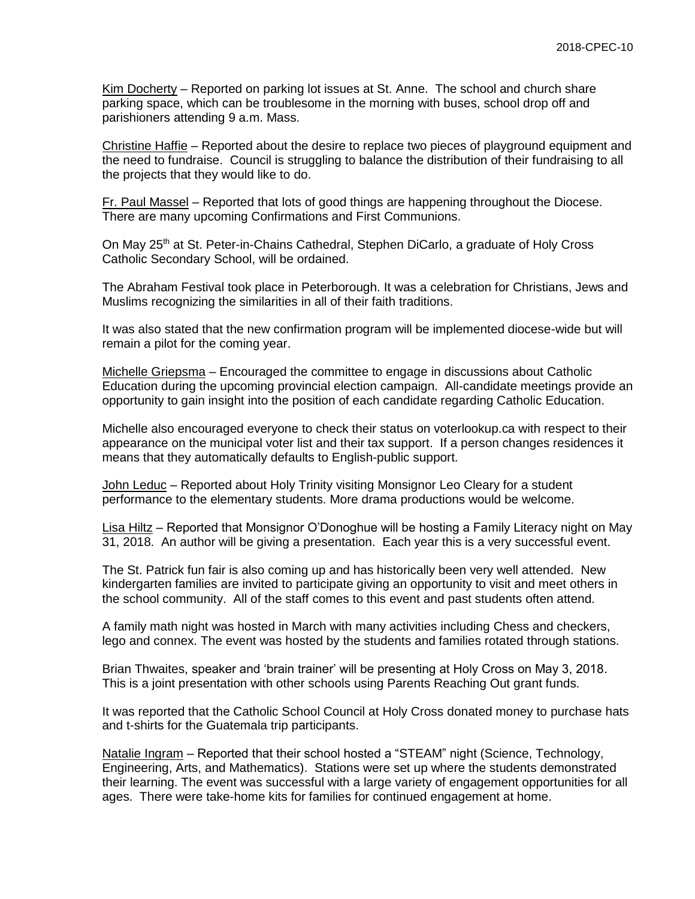Kim Docherty – Reported on parking lot issues at St. Anne. The school and church share parking space, which can be troublesome in the morning with buses, school drop off and parishioners attending 9 a.m. Mass.

Christine Haffie – Reported about the desire to replace two pieces of playground equipment and the need to fundraise. Council is struggling to balance the distribution of their fundraising to all the projects that they would like to do.

Fr. Paul Massel – Reported that lots of good things are happening throughout the Diocese. There are many upcoming Confirmations and First Communions.

On May 25<sup>th</sup> at St. Peter-in-Chains Cathedral, Stephen DiCarlo, a graduate of Holy Cross Catholic Secondary School, will be ordained.

The Abraham Festival took place in Peterborough. It was a celebration for Christians, Jews and Muslims recognizing the similarities in all of their faith traditions.

It was also stated that the new confirmation program will be implemented diocese-wide but will remain a pilot for the coming year.

Michelle Griepsma – Encouraged the committee to engage in discussions about Catholic Education during the upcoming provincial election campaign. All-candidate meetings provide an opportunity to gain insight into the position of each candidate regarding Catholic Education.

Michelle also encouraged everyone to check their status on voterlookup.ca with respect to their appearance on the municipal voter list and their tax support. If a person changes residences it means that they automatically defaults to English-public support.

John Leduc - Reported about Holy Trinity visiting Monsignor Leo Cleary for a student performance to the elementary students. More drama productions would be welcome.

Lisa Hiltz – Reported that Monsignor O'Donoghue will be hosting a Family Literacy night on May 31, 2018. An author will be giving a presentation. Each year this is a very successful event.

The St. Patrick fun fair is also coming up and has historically been very well attended. New kindergarten families are invited to participate giving an opportunity to visit and meet others in the school community. All of the staff comes to this event and past students often attend.

A family math night was hosted in March with many activities including Chess and checkers, lego and connex. The event was hosted by the students and families rotated through stations.

Brian Thwaites, speaker and 'brain trainer' will be presenting at Holy Cross on May 3, 2018. This is a joint presentation with other schools using Parents Reaching Out grant funds.

It was reported that the Catholic School Council at Holy Cross donated money to purchase hats and t-shirts for the Guatemala trip participants.

Natalie Ingram – Reported that their school hosted a "STEAM" night (Science, Technology, Engineering, Arts, and Mathematics). Stations were set up where the students demonstrated their learning. The event was successful with a large variety of engagement opportunities for all ages. There were take-home kits for families for continued engagement at home.